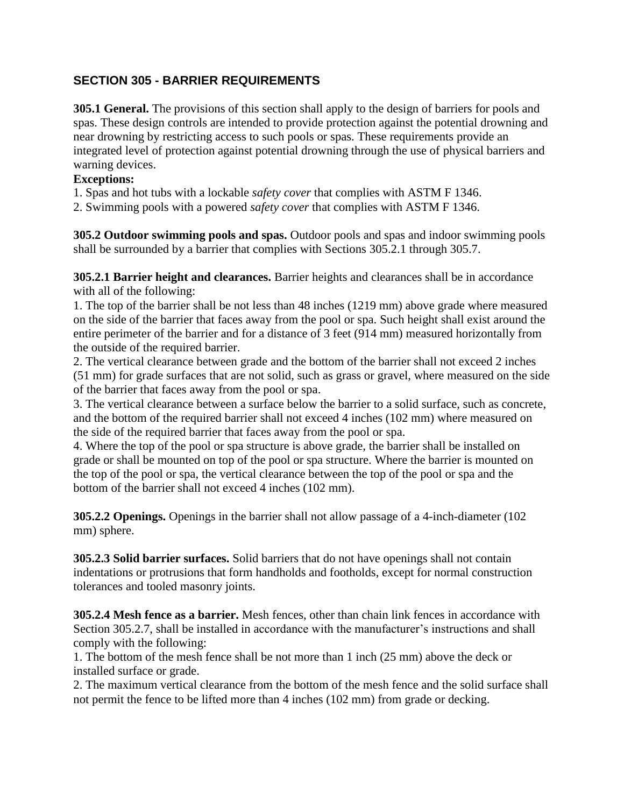## **SECTION 305 - BARRIER REQUIREMENTS**

**305.1 General.** The provisions of this section shall apply to the design of barriers for pools and spas. These design controls are intended to provide protection against the potential drowning and near drowning by restricting access to such pools or spas. These requirements provide an integrated level of protection against potential drowning through the use of physical barriers and warning devices.

### **Exceptions:**

1. Spas and hot tubs with a lockable *safety cover* that complies with ASTM F 1346.

2. Swimming pools with a powered *safety cover* that complies with ASTM F 1346.

**305.2 Outdoor swimming pools and spas.** Outdoor pools and spas and indoor swimming pools shall be surrounded by a barrier that complies with Sections 305.2.1 through 305.7.

**305.2.1 Barrier height and clearances.** Barrier heights and clearances shall be in accordance with all of the following:

1. The top of the barrier shall be not less than 48 inches (1219 mm) above grade where measured on the side of the barrier that faces away from the pool or spa. Such height shall exist around the entire perimeter of the barrier and for a distance of 3 feet (914 mm) measured horizontally from the outside of the required barrier.

2. The vertical clearance between grade and the bottom of the barrier shall not exceed 2 inches (51 mm) for grade surfaces that are not solid, such as grass or gravel, where measured on the side of the barrier that faces away from the pool or spa.

3. The vertical clearance between a surface below the barrier to a solid surface, such as concrete, and the bottom of the required barrier shall not exceed 4 inches (102 mm) where measured on the side of the required barrier that faces away from the pool or spa.

4. Where the top of the pool or spa structure is above grade, the barrier shall be installed on grade or shall be mounted on top of the pool or spa structure. Where the barrier is mounted on the top of the pool or spa, the vertical clearance between the top of the pool or spa and the bottom of the barrier shall not exceed 4 inches (102 mm).

**305.2.2 Openings.** Openings in the barrier shall not allow passage of a 4-inch-diameter (102 mm) sphere.

**305.2.3 Solid barrier surfaces.** Solid barriers that do not have openings shall not contain indentations or protrusions that form handholds and footholds, except for normal construction tolerances and tooled masonry joints.

**305.2.4 Mesh fence as a barrier.** Mesh fences, other than chain link fences in accordance with Section 305.2.7, shall be installed in accordance with the manufacturer's instructions and shall comply with the following:

1. The bottom of the mesh fence shall be not more than 1 inch (25 mm) above the deck or installed surface or grade.

2. The maximum vertical clearance from the bottom of the mesh fence and the solid surface shall not permit the fence to be lifted more than 4 inches (102 mm) from grade or decking.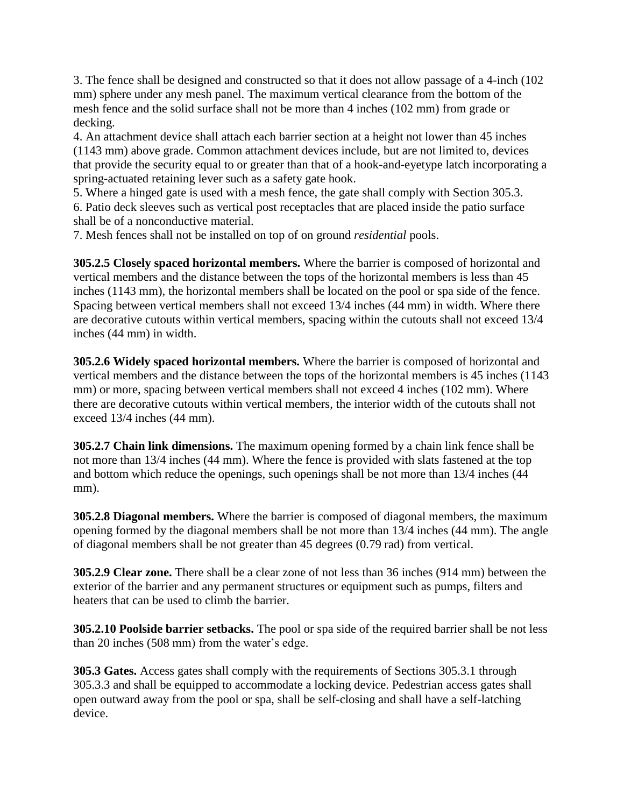3. The fence shall be designed and constructed so that it does not allow passage of a 4-inch (102 mm) sphere under any mesh panel. The maximum vertical clearance from the bottom of the mesh fence and the solid surface shall not be more than 4 inches (102 mm) from grade or decking.

4. An attachment device shall attach each barrier section at a height not lower than 45 inches (1143 mm) above grade. Common attachment devices include, but are not limited to, devices that provide the security equal to or greater than that of a hook-and-eyetype latch incorporating a spring-actuated retaining lever such as a safety gate hook.

5. Where a hinged gate is used with a mesh fence, the gate shall comply with Section 305.3. 6. Patio deck sleeves such as vertical post receptacles that are placed inside the patio surface shall be of a nonconductive material.

7. Mesh fences shall not be installed on top of on ground *residential* pools.

**305.2.5 Closely spaced horizontal members.** Where the barrier is composed of horizontal and vertical members and the distance between the tops of the horizontal members is less than 45 inches (1143 mm), the horizontal members shall be located on the pool or spa side of the fence. Spacing between vertical members shall not exceed 13/4 inches (44 mm) in width. Where there are decorative cutouts within vertical members, spacing within the cutouts shall not exceed 13/4 inches (44 mm) in width.

**305.2.6 Widely spaced horizontal members.** Where the barrier is composed of horizontal and vertical members and the distance between the tops of the horizontal members is 45 inches (1143 mm) or more, spacing between vertical members shall not exceed 4 inches (102 mm). Where there are decorative cutouts within vertical members, the interior width of the cutouts shall not exceed 13/4 inches (44 mm).

**305.2.7 Chain link dimensions.** The maximum opening formed by a chain link fence shall be not more than 13/4 inches (44 mm). Where the fence is provided with slats fastened at the top and bottom which reduce the openings, such openings shall be not more than 13/4 inches (44 mm).

**305.2.8 Diagonal members.** Where the barrier is composed of diagonal members, the maximum opening formed by the diagonal members shall be not more than 13/4 inches (44 mm). The angle of diagonal members shall be not greater than 45 degrees (0.79 rad) from vertical.

**305.2.9 Clear zone.** There shall be a clear zone of not less than 36 inches (914 mm) between the exterior of the barrier and any permanent structures or equipment such as pumps, filters and heaters that can be used to climb the barrier.

**305.2.10 Poolside barrier setbacks.** The pool or spa side of the required barrier shall be not less than 20 inches (508 mm) from the water's edge.

**305.3 Gates.** Access gates shall comply with the requirements of Sections 305.3.1 through 305.3.3 and shall be equipped to accommodate a locking device. Pedestrian access gates shall open outward away from the pool or spa, shall be self-closing and shall have a self-latching device.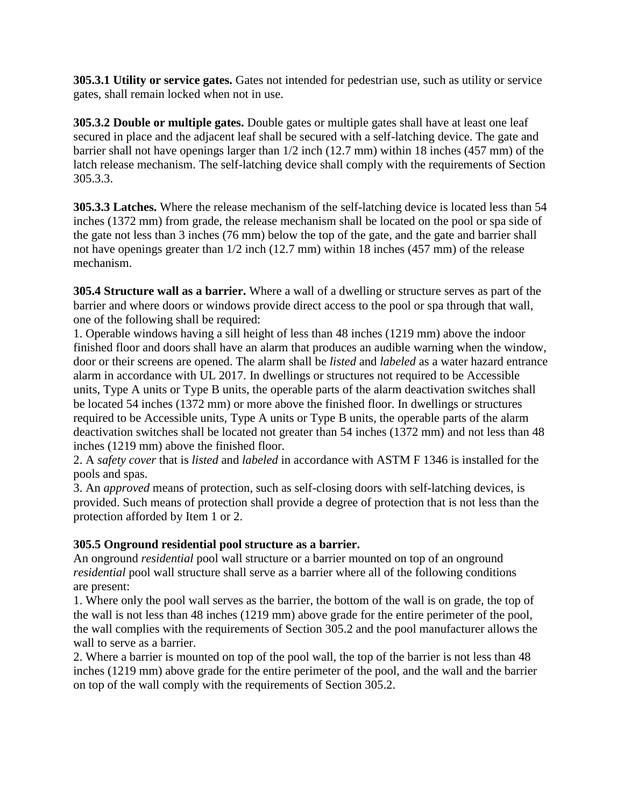**305.3.1 Utility or service gates.** Gates not intended for pedestrian use, such as utility or service gates, shall remain locked when not in use.

**305.3.2 Double or multiple gates.** Double gates or multiple gates shall have at least one leaf secured in place and the adjacent leaf shall be secured with a self-latching device. The gate and barrier shall not have openings larger than 1/2 inch (12.7 mm) within 18 inches (457 mm) of the latch release mechanism. The self-latching device shall comply with the requirements of Section 305.3.3.

**305.3.3 Latches.** Where the release mechanism of the self-latching device is located less than 54 inches (1372 mm) from grade, the release mechanism shall be located on the pool or spa side of the gate not less than 3 inches (76 mm) below the top of the gate, and the gate and barrier shall not have openings greater than 1/2 inch (12.7 mm) within 18 inches (457 mm) of the release mechanism.

**305.4 Structure wall as a barrier.** Where a wall of a dwelling or structure serves as part of the barrier and where doors or windows provide direct access to the pool or spa through that wall, one of the following shall be required:

1. Operable windows having a sill height of less than 48 inches (1219 mm) above the indoor finished floor and doors shall have an alarm that produces an audible warning when the window, door or their screens are opened. The alarm shall be *listed* and *labeled* as a water hazard entrance alarm in accordance with UL 2017. In dwellings or structures not required to be Accessible units, Type A units or Type B units, the operable parts of the alarm deactivation switches shall be located 54 inches (1372 mm) or more above the finished floor. In dwellings or structures required to be Accessible units, Type A units or Type B units, the operable parts of the alarm deactivation switches shall be located not greater than 54 inches (1372 mm) and not less than 48 inches (1219 mm) above the finished floor.

2. A *safety cover* that is *listed* and *labeled* in accordance with ASTM F 1346 is installed for the pools and spas.

3. An *approved* means of protection, such as self-closing doors with self-latching devices, is provided. Such means of protection shall provide a degree of protection that is not less than the protection afforded by Item 1 or 2.

#### **305.5 Onground residential pool structure as a barrier.**

An onground *residential* pool wall structure or a barrier mounted on top of an onground *residential* pool wall structure shall serve as a barrier where all of the following conditions are present:

1. Where only the pool wall serves as the barrier, the bottom of the wall is on grade, the top of the wall is not less than 48 inches (1219 mm) above grade for the entire perimeter of the pool, the wall complies with the requirements of Section 305.2 and the pool manufacturer allows the wall to serve as a barrier.

2. Where a barrier is mounted on top of the pool wall, the top of the barrier is not less than 48 inches (1219 mm) above grade for the entire perimeter of the pool, and the wall and the barrier on top of the wall comply with the requirements of Section 305.2.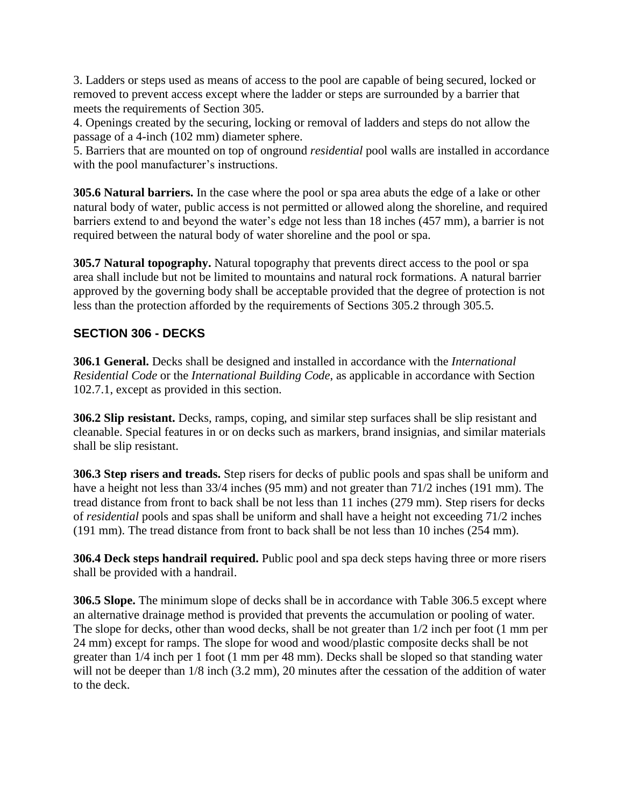3. Ladders or steps used as means of access to the pool are capable of being secured, locked or removed to prevent access except where the ladder or steps are surrounded by a barrier that meets the requirements of Section 305.

4. Openings created by the securing, locking or removal of ladders and steps do not allow the passage of a 4-inch (102 mm) diameter sphere.

5. Barriers that are mounted on top of onground *residential* pool walls are installed in accordance with the pool manufacturer's instructions.

**305.6 Natural barriers.** In the case where the pool or spa area abuts the edge of a lake or other natural body of water, public access is not permitted or allowed along the shoreline, and required barriers extend to and beyond the water's edge not less than 18 inches (457 mm), a barrier is not required between the natural body of water shoreline and the pool or spa.

**305.7 Natural topography.** Natural topography that prevents direct access to the pool or spa area shall include but not be limited to mountains and natural rock formations. A natural barrier approved by the governing body shall be acceptable provided that the degree of protection is not less than the protection afforded by the requirements of Sections 305.2 through 305.5.

# **SECTION 306 - DECKS**

**306.1 General.** Decks shall be designed and installed in accordance with the *International Residential Code* or the *International Building Code*, as applicable in accordance with Section 102.7.1, except as provided in this section.

**306.2 Slip resistant.** Decks, ramps, coping, and similar step surfaces shall be slip resistant and cleanable. Special features in or on decks such as markers, brand insignias, and similar materials shall be slip resistant.

**306.3 Step risers and treads.** Step risers for decks of public pools and spas shall be uniform and have a height not less than 33/4 inches (95 mm) and not greater than 71/2 inches (191 mm). The tread distance from front to back shall be not less than 11 inches (279 mm). Step risers for decks of *residential* pools and spas shall be uniform and shall have a height not exceeding 71/2 inches (191 mm). The tread distance from front to back shall be not less than 10 inches (254 mm).

**306.4 Deck steps handrail required.** Public pool and spa deck steps having three or more risers shall be provided with a handrail.

**306.5 Slope.** The minimum slope of decks shall be in accordance with Table 306.5 except where an alternative drainage method is provided that prevents the accumulation or pooling of water. The slope for decks, other than wood decks, shall be not greater than 1/2 inch per foot (1 mm per 24 mm) except for ramps. The slope for wood and wood/plastic composite decks shall be not greater than 1/4 inch per 1 foot (1 mm per 48 mm). Decks shall be sloped so that standing water will not be deeper than  $1/8$  inch  $(3.2 \text{ mm})$ , 20 minutes after the cessation of the addition of water to the deck.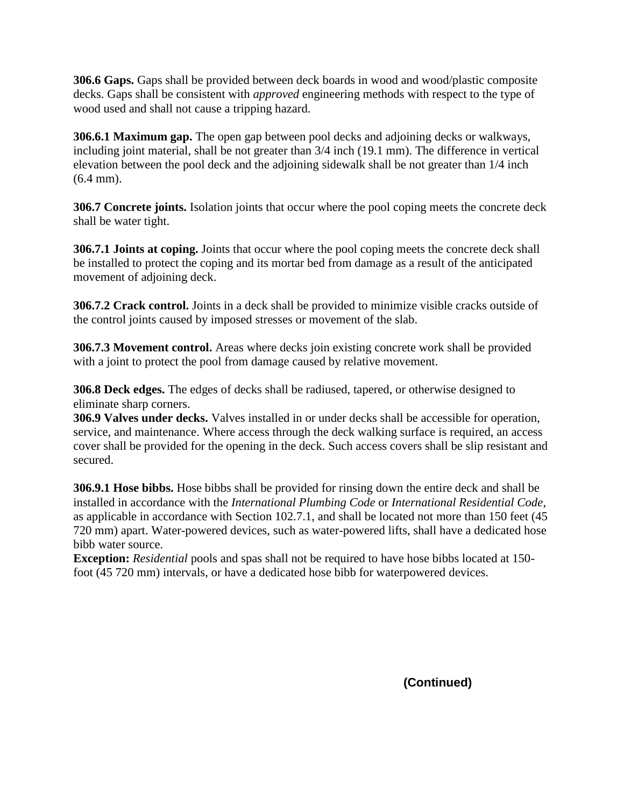**306.6 Gaps.** Gaps shall be provided between deck boards in wood and wood/plastic composite decks. Gaps shall be consistent with *approved* engineering methods with respect to the type of wood used and shall not cause a tripping hazard.

**306.6.1 Maximum gap.** The open gap between pool decks and adjoining decks or walkways, including joint material, shall be not greater than 3/4 inch (19.1 mm). The difference in vertical elevation between the pool deck and the adjoining sidewalk shall be not greater than 1/4 inch (6.4 mm).

**306.7 Concrete joints.** Isolation joints that occur where the pool coping meets the concrete deck shall be water tight.

**306.7.1 Joints at coping.** Joints that occur where the pool coping meets the concrete deck shall be installed to protect the coping and its mortar bed from damage as a result of the anticipated movement of adjoining deck.

**306.7.2 Crack control.** Joints in a deck shall be provided to minimize visible cracks outside of the control joints caused by imposed stresses or movement of the slab.

**306.7.3 Movement control.** Areas where decks join existing concrete work shall be provided with a joint to protect the pool from damage caused by relative movement.

**306.8 Deck edges.** The edges of decks shall be radiused, tapered, or otherwise designed to eliminate sharp corners.

**306.9 Valves under decks.** Valves installed in or under decks shall be accessible for operation, service, and maintenance. Where access through the deck walking surface is required, an access cover shall be provided for the opening in the deck. Such access covers shall be slip resistant and secured.

**306.9.1 Hose bibbs.** Hose bibbs shall be provided for rinsing down the entire deck and shall be installed in accordance with the *International Plumbing Code* or *International Residential Code*, as applicable in accordance with Section 102.7.1, and shall be located not more than 150 feet (45 720 mm) apart. Water-powered devices, such as water-powered lifts, shall have a dedicated hose bibb water source.

**Exception:** *Residential* pools and spas shall not be required to have hose bibbs located at 150foot (45 720 mm) intervals, or have a dedicated hose bibb for waterpowered devices.

**(Continued)**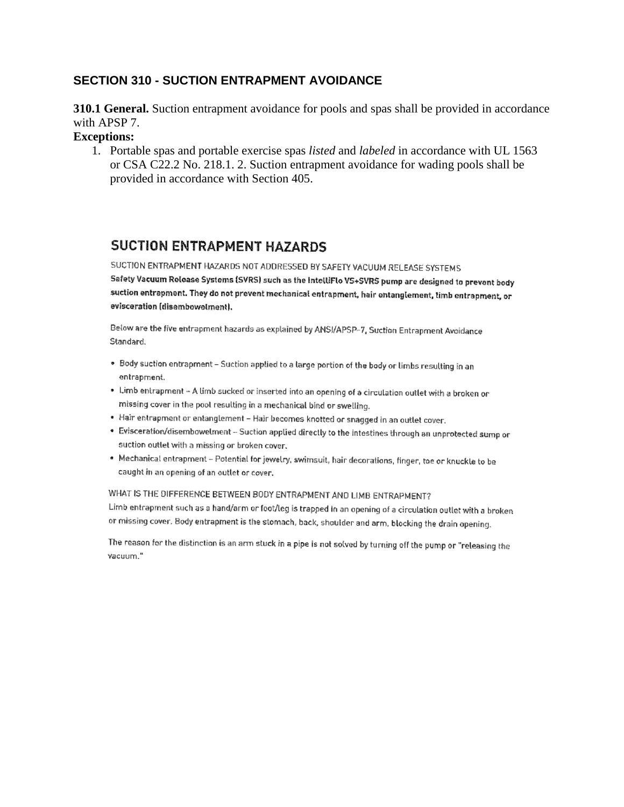### **SECTION 310 - SUCTION ENTRAPMENT AVOIDANCE**

**310.1 General.** Suction entrapment avoidance for pools and spas shall be provided in accordance with APSP 7.

#### **Exceptions:**

1. Portable spas and portable exercise spas *listed* and *labeled* in accordance with UL 1563 or CSA C22.2 No. 218.1. 2. Suction entrapment avoidance for wading pools shall be provided in accordance with Section 405.

# **SUCTION ENTRAPMENT HAZARDS**

SUCTION ENTRAPMENT HAZARDS NOT ADDRESSED BY SAFETY VACUUM RELEASE SYSTEMS Safety Vacuum Release Systems (SVRS) such as the IntelliFlo VS+SVRS pump are designed to prevent body suction entrapment. They do not prevent mechanical entrapment, hair entanglement, limb entrapment, or evisceration (disembowelment).

Below are the five entrapment hazards as explained by ANSI/APSP-7, Suction Entrapment Avoidance Standard.

- . Body suction entrapment Suction applied to a targe portion of the body or limbs resulting in an entrapment.
- . Limb entrapment A limb sucked or inserted into an opening of a circulation outlet with a broken or missing cover in the pool resulting in a mechanical bind or swelling.
- · Hair entrapment or entanglement Hair becomes knotted or snagged in an outlet cover.
- . Evisceration/disembowelment Suction applied directly to the intestines through an unprotected sump or suction outlet with a missing or broken cover.
- . Mechanical entrapment Potential for jewelry, swimsuit, hair decorations, finger, toe or knuckle to be caught in an opening of an outlet or cover.

#### WHAT IS THE DIFFERENCE BETWEEN BODY ENTRAPMENT AND LIMB ENTRAPMENT?

Limb entrapment such as a hand/arm or foot/leg is trapped in an opening of a circulation outlet with a brokenor missing cover. Body entrapment is the stomach, back, shoulder and arm, blocking the drain opening.

The reason for the distinction is an arm stuck in a pipe is not solved by turning off the pump or "releasing the vacuum."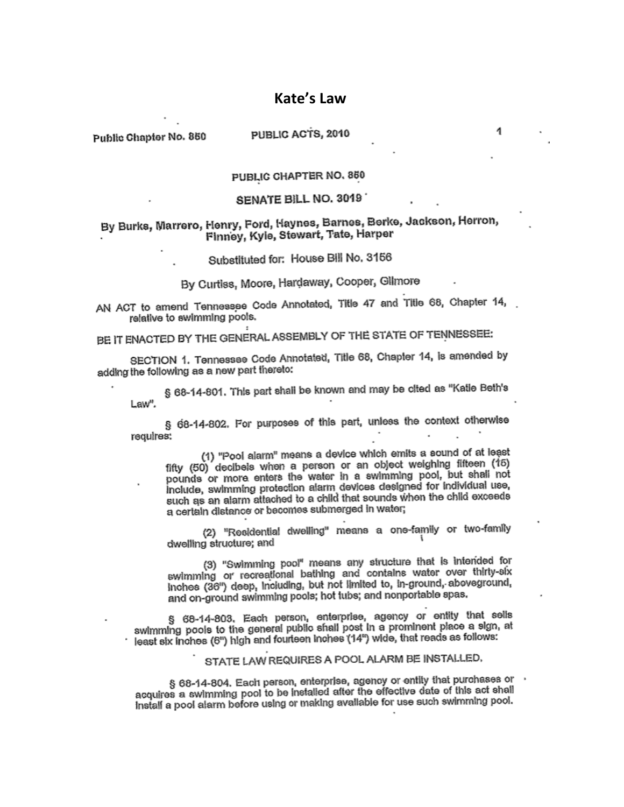### **Kate's Law**

Public Chapter No. 850

#### PUBLIC ACTS, 2010

#### PUBLIC CHAPTER NO. 850

#### SENATE BILL NO. 3019

#### By Burks, Marrero, Henry, Ford, Haynes, Barnes, Berke, Jackson, Herron, Finney, Kyle, Stewart, Tate, Harper

### Substituted for: House Bill No. 3156

# By Curtiss, Moore, Hardaway, Cooper, Gilmore

AN ACT to amend Tennessee Code Annotated, Title 47 and Title 68, Chapter 14, relative to swimming pools.

BE IT ENACTED BY THE GENERAL ASSEMBLY OF THE STATE OF TENNESSEE:

SECTION 1. Tennessee Code Annotated, Title 68, Chapter 14, is amended by adding the following as a new part thereto:

§ 68-14-801. This part shall be known and may be cited as "Katle Beth's Law".

§ 68-14-802. For purposes of this part, unless the context otherwise regulres:

(1) "Pool alarm" means a device which emits a sound of at least fifty (50) decibels when a person or an object weighing fifteen (15) pounds or more enters the water in a swimming pool, but shall not include, swimming protection alarm devices designed for individual use, such as an alarm attached to a child that sounds when the child exceeds a certain distance or becomes submerged in water;

(2) "Residential dwelling" means a one-family or two-family dwelling structure; and

(3) "Swimming pool" means any structure that is intended for swimming or recreational bathing and contains water over thirty-six Inches (36") deep, including, but not limited to, in-ground, aboveground, and on-ground swimming pools; hot tubs; and nonportable spas.

§ 68-14-803. Each person, enterprise, agency or entity that sells swimming pools to the general public shall post in a prominent place a sign, at least six inches (6") high and fourteen inches (14") wide, that reads as follows:

STATE LAW REQUIRES A POOL ALARM BE INSTALLED.

§ 68-14-804. Each person, enterprise, agency or entity that purchases or acquires a swimming pool to be installed after the effective date of this act shall Instalf a pool alarm before using or making available for use such swimming pool.